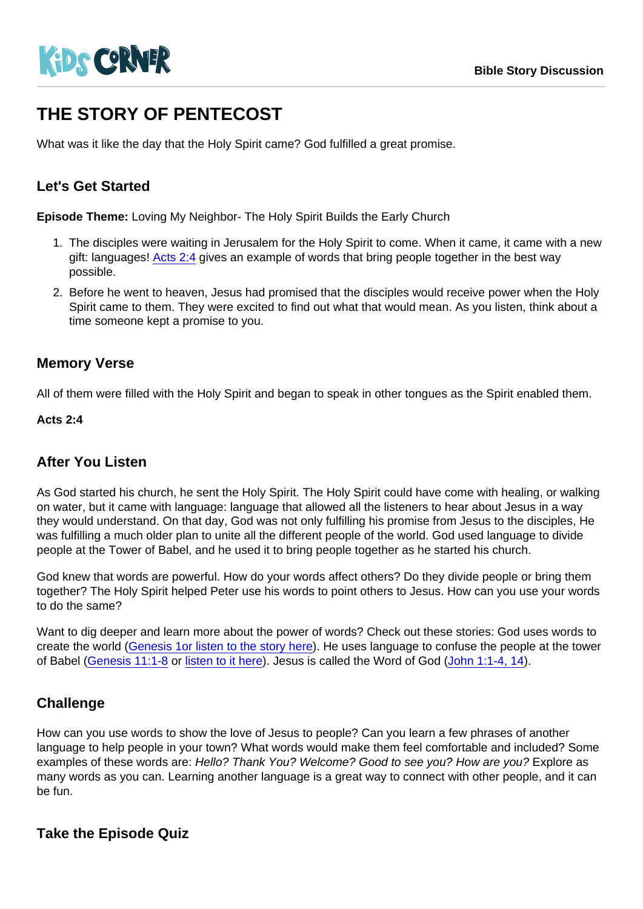# THE STORY OF PENTECOST

What was it like the day that the Holy Spirit came? God fulfilled a great promise.

# Let's Get Started

Episode Theme: Loving My Neighbor- The Holy Spirit Builds the Early Church

- 1. The disciples were waiting in Jerusalem for the Holy Spirit to come. When it came, it came with a new gift: languages! [Acts 2:4](https://www.biblegateway.com/passage/?search=Acts+2:4&version=NIRV) gives an example of words that bring people together in the best way possible.
- 2. Before he went to heaven, Jesus had promised that the disciples would receive power when the Holy Spirit came to them. They were excited to find out what that would mean. As you listen, think about a time someone kept a promise to you.

#### Memory Verse

All of them were filled with the Holy Spirit and began to speak in other tongues as the Spirit enabled them.

Acts 2:4

## After You Listen

As God started his church, he sent the Holy Spirit. The Holy Spirit could have come with healing, or walking on water, but it came with language: language that allowed all the listeners to hear about Jesus in a way they would understand. On that day, God was not only fulfilling his promise from Jesus to the disciples, He was fulfilling a much older plan to unite all the different people of the world. God used language to divide people at the Tower of Babel, and he used it to bring people together as he started his church.

God knew that words are powerful. How do your words affect others? Do they divide people or bring them together? The Holy Spirit helped Peter use his words to point others to Jesus. How can you use your words to do the same?

Want to dig deeper and learn more about the power of words? Check out these stories: God uses words to create the world ([Genesis 1](https://www.biblegateway.com/passage/?search=genesis+1&version=CEV)[or listen to the story here\)](https://kidscorner.reframemedia.com/bible-stories/the-creation-story). He uses language to confuse the people at the tower of Babel [\(Genesis 11:1-8](https://www.biblegateway.com/passage/?search=genesis+11:1-8&version=NIV) or [listen to it here](https://kidscorner.reframemedia.com/bible-stories/the-tower-of-babel)). Jesus is called the Word of God ([John 1:1-4, 14](https://www.biblegateway.com/passage/?search=john+1:+1-4,+14&version=CEV)).

## **Challenge**

How can you use words to show the love of Jesus to people? Can you learn a few phrases of another language to help people in your town? What words would make them feel comfortable and included? Some examples of these words are: Hello? Thank You? Welcome? Good to see you? How are you? Explore as many words as you can. Learning another language is a great way to connect with other people, and it can be fun.

Take the Episode Quiz